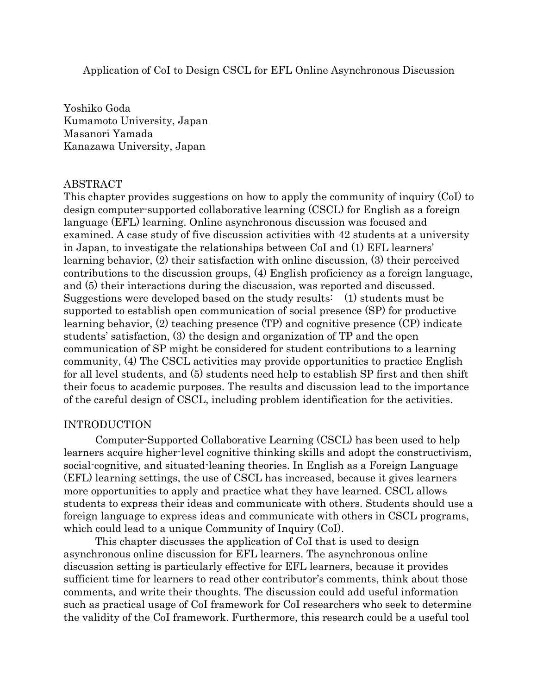Application of CoI to Design CSCL for EFL Online Asynchronous Discussion

Yoshiko Goda Kumamoto University, Japan Masanori Yamada Kanazawa University, Japan

# ABSTRACT

This chapter provides suggestions on how to apply the community of inquiry (CoI) to design computer-supported collaborative learning (CSCL) for English as a foreign language (EFL) learning. Online asynchronous discussion was focused and examined. A case study of five discussion activities with 42 students at a university in Japan, to investigate the relationships between CoI and (1) EFL learners' learning behavior, (2) their satisfaction with online discussion, (3) their perceived contributions to the discussion groups, (4) English proficiency as a foreign language, and (5) their interactions during the discussion, was reported and discussed. Suggestions were developed based on the study results: (1) students must be supported to establish open communication of social presence (SP) for productive learning behavior, (2) teaching presence (TP) and cognitive presence (CP) indicate students' satisfaction, (3) the design and organization of TP and the open communication of SP might be considered for student contributions to a learning community, (4) The CSCL activities may provide opportunities to practice English for all level students, and (5) students need help to establish SP first and then shift their focus to academic purposes. The results and discussion lead to the importance of the careful design of CSCL, including problem identification for the activities.

# INTRODUCTION

Computer-Supported Collaborative Learning (CSCL) has been used to help learners acquire higher-level cognitive thinking skills and adopt the constructivism, social-cognitive, and situated-leaning theories. In English as a Foreign Language (EFL) learning settings, the use of CSCL has increased, because it gives learners more opportunities to apply and practice what they have learned. CSCL allows students to express their ideas and communicate with others. Students should use a foreign language to express ideas and communicate with others in CSCL programs, which could lead to a unique Community of Inquiry (CoI).

This chapter discusses the application of CoI that is used to design asynchronous online discussion for EFL learners. The asynchronous online discussion setting is particularly effective for EFL learners, because it provides sufficient time for learners to read other contributor's comments, think about those comments, and write their thoughts. The discussion could add useful information such as practical usage of CoI framework for CoI researchers who seek to determine the validity of the CoI framework. Furthermore, this research could be a useful tool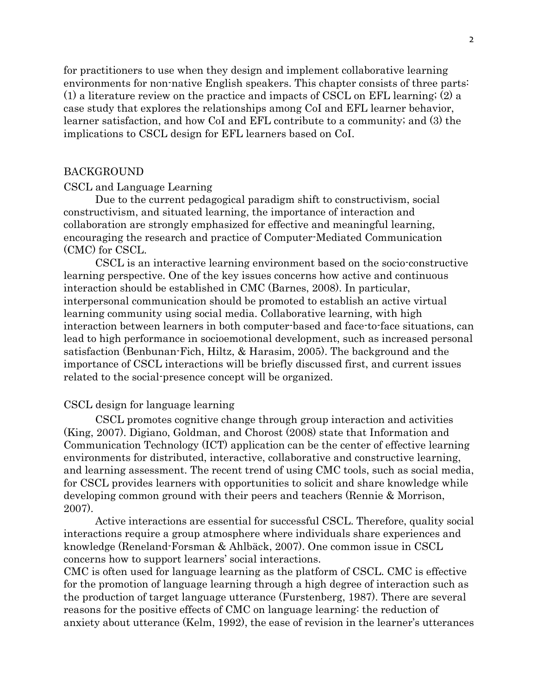for practitioners to use when they design and implement collaborative learning environments for non-native English speakers. This chapter consists of three parts: (1) a literature review on the practice and impacts of CSCL on EFL learning; (2) a case study that explores the relationships among CoI and EFL learner behavior, learner satisfaction, and how CoI and EFL contribute to a community; and (3) the implications to CSCL design for EFL learners based on CoI.

## BACKGROUND

#### CSCL and Language Learning

Due to the current pedagogical paradigm shift to constructivism, social constructivism, and situated learning, the importance of interaction and collaboration are strongly emphasized for effective and meaningful learning, encouraging the research and practice of Computer-Mediated Communication (CMC) for CSCL.

CSCL is an interactive learning environment based on the socio-constructive learning perspective. One of the key issues concerns how active and continuous interaction should be established in CMC (Barnes, 2008). In particular, interpersonal communication should be promoted to establish an active virtual learning community using social media. Collaborative learning, with high interaction between learners in both computer-based and face-to-face situations, can lead to high performance in socioemotional development, such as increased personal satisfaction (Benbunan-Fich, Hiltz, & Harasim, 2005). The background and the importance of CSCL interactions will be briefly discussed first, and current issues related to the social-presence concept will be organized.

## CSCL design for language learning

CSCL promotes cognitive change through group interaction and activities (King, 2007). Digiano, Goldman, and Chorost (2008) state that Information and Communication Technology (ICT) application can be the center of effective learning environments for distributed, interactive, collaborative and constructive learning, and learning assessment. The recent trend of using CMC tools, such as social media, for CSCL provides learners with opportunities to solicit and share knowledge while developing common ground with their peers and teachers (Rennie & Morrison, 2007).

Active interactions are essential for successful CSCL. Therefore, quality social interactions require a group atmosphere where individuals share experiences and knowledge (Reneland-Forsman & Ahlbäck, 2007). One common issue in CSCL concerns how to support learners' social interactions.

CMC is often used for language learning as the platform of CSCL. CMC is effective for the promotion of language learning through a high degree of interaction such as the production of target language utterance (Furstenberg, 1987). There are several reasons for the positive effects of CMC on language learning: the reduction of anxiety about utterance (Kelm, 1992), the ease of revision in the learner's utterances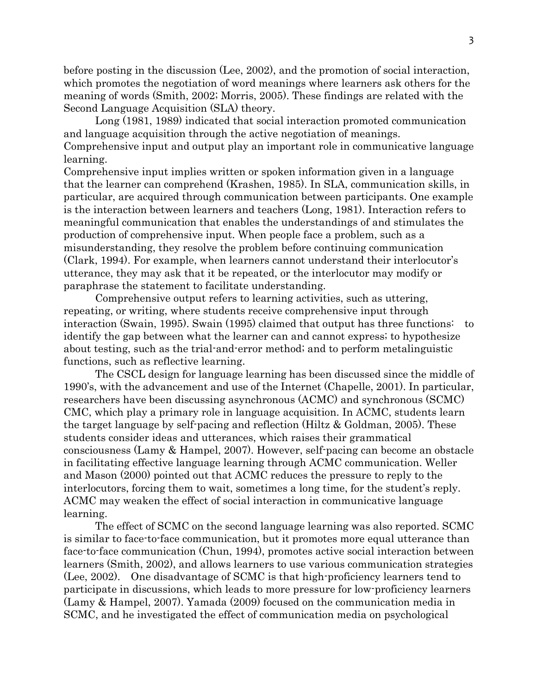before posting in the discussion (Lee, 2002), and the promotion of social interaction, which promotes the negotiation of word meanings where learners ask others for the meaning of words (Smith, 2002; Morris, 2005). These findings are related with the Second Language Acquisition (SLA) theory.

Long (1981, 1989) indicated that social interaction promoted communication and language acquisition through the active negotiation of meanings. Comprehensive input and output play an important role in communicative language learning.

Comprehensive input implies written or spoken information given in a language that the learner can comprehend (Krashen, 1985). In SLA, communication skills, in particular, are acquired through communication between participants. One example is the interaction between learners and teachers (Long, 1981). Interaction refers to meaningful communication that enables the understandings of and stimulates the production of comprehensive input. When people face a problem, such as a misunderstanding, they resolve the problem before continuing communication (Clark, 1994). For example, when learners cannot understand their interlocutor's utterance, they may ask that it be repeated, or the interlocutor may modify or paraphrase the statement to facilitate understanding.

Comprehensive output refers to learning activities, such as uttering, repeating, or writing, where students receive comprehensive input through interaction (Swain, 1995). Swain (1995) claimed that output has three functions: to identify the gap between what the learner can and cannot express; to hypothesize about testing, such as the trial-and-error method; and to perform metalinguistic functions, such as reflective learning.

The CSCL design for language learning has been discussed since the middle of 1990's, with the advancement and use of the Internet (Chapelle, 2001). In particular, researchers have been discussing asynchronous (ACMC) and synchronous (SCMC) CMC, which play a primary role in language acquisition. In ACMC, students learn the target language by self-pacing and reflection (Hiltz & Goldman, 2005). These students consider ideas and utterances, which raises their grammatical consciousness (Lamy & Hampel, 2007). However, self-pacing can become an obstacle in facilitating effective language learning through ACMC communication. Weller and Mason (2000) pointed out that ACMC reduces the pressure to reply to the interlocutors, forcing them to wait, sometimes a long time, for the student's reply. ACMC may weaken the effect of social interaction in communicative language learning.

The effect of SCMC on the second language learning was also reported. SCMC is similar to face-to-face communication, but it promotes more equal utterance than face-to-face communication (Chun, 1994), promotes active social interaction between learners (Smith, 2002), and allows learners to use various communication strategies (Lee, 2002). One disadvantage of SCMC is that high-proficiency learners tend to participate in discussions, which leads to more pressure for low-proficiency learners (Lamy & Hampel, 2007). Yamada (2009) focused on the communication media in SCMC, and he investigated the effect of communication media on psychological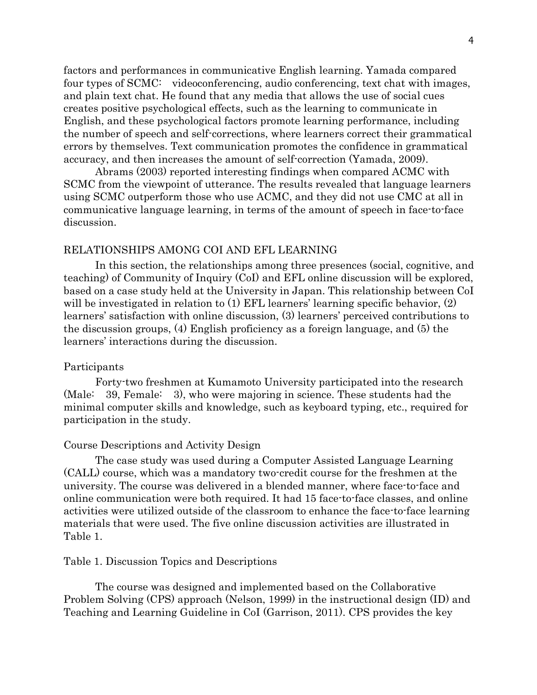factors and performances in communicative English learning. Yamada compared four types of SCMC: videoconferencing, audio conferencing, text chat with images, and plain text chat. He found that any media that allows the use of social cues creates positive psychological effects, such as the learning to communicate in English, and these psychological factors promote learning performance, including the number of speech and self-corrections, where learners correct their grammatical errors by themselves. Text communication promotes the confidence in grammatical accuracy, and then increases the amount of self-correction (Yamada, 2009).

Abrams (2003) reported interesting findings when compared ACMC with SCMC from the viewpoint of utterance. The results revealed that language learners using SCMC outperform those who use ACMC, and they did not use CMC at all in communicative language learning, in terms of the amount of speech in face-to-face discussion.

### RELATIONSHIPS AMONG COI AND EFL LEARNING

In this section, the relationships among three presences (social, cognitive, and teaching) of Community of Inquiry (CoI) and EFL online discussion will be explored, based on a case study held at the University in Japan. This relationship between CoI will be investigated in relation to (1) EFL learners' learning specific behavior, (2) learners' satisfaction with online discussion, (3) learners' perceived contributions to the discussion groups, (4) English proficiency as a foreign language, and (5) the learners' interactions during the discussion.

#### Participants

Forty-two freshmen at Kumamoto University participated into the research (Male: 39, Female: 3), who were majoring in science. These students had the minimal computer skills and knowledge, such as keyboard typing, etc., required for participation in the study.

### Course Descriptions and Activity Design

The case study was used during a Computer Assisted Language Learning (CALL) course, which was a mandatory two-credit course for the freshmen at the university. The course was delivered in a blended manner, where face-to-face and online communication were both required. It had 15 face-to-face classes, and online activities were utilized outside of the classroom to enhance the face-to-face learning materials that were used. The five online discussion activities are illustrated in Table 1.

### Table 1. Discussion Topics and Descriptions

The course was designed and implemented based on the Collaborative Problem Solving (CPS) approach (Nelson, 1999) in the instructional design (ID) and Teaching and Learning Guideline in CoI (Garrison, 2011). CPS provides the key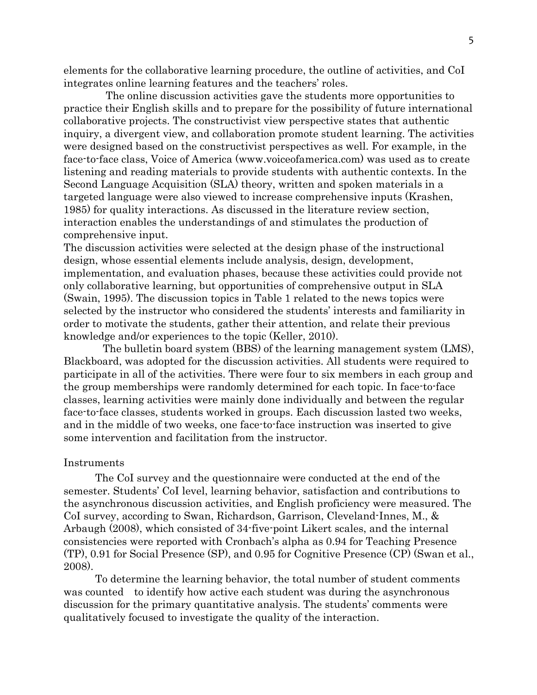elements for the collaborative learning procedure, the outline of activities, and CoI integrates online learning features and the teachers' roles.

The online discussion activities gave the students more opportunities to practice their English skills and to prepare for the possibility of future international collaborative projects. The constructivist view perspective states that authentic inquiry, a divergent view, and collaboration promote student learning. The activities were designed based on the constructivist perspectives as well. For example, in the face-to-face class, Voice of America (www.voiceofamerica.com) was used as to create listening and reading materials to provide students with authentic contexts. In the Second Language Acquisition (SLA) theory, written and spoken materials in a targeted language were also viewed to increase comprehensive inputs (Krashen, 1985) for quality interactions. As discussed in the literature review section, interaction enables the understandings of and stimulates the production of comprehensive input.

The discussion activities were selected at the design phase of the instructional design, whose essential elements include analysis, design, development, implementation, and evaluation phases, because these activities could provide not only collaborative learning, but opportunities of comprehensive output in SLA (Swain, 1995). The discussion topics in Table 1 related to the news topics were selected by the instructor who considered the students' interests and familiarity in order to motivate the students, gather their attention, and relate their previous knowledge and/or experiences to the topic (Keller, 2010).

The bulletin board system (BBS) of the learning management system (LMS), Blackboard, was adopted for the discussion activities. All students were required to participate in all of the activities. There were four to six members in each group and the group memberships were randomly determined for each topic. In face-to-face classes, learning activities were mainly done individually and between the regular face-to-face classes, students worked in groups. Each discussion lasted two weeks, and in the middle of two weeks, one face-to-face instruction was inserted to give some intervention and facilitation from the instructor.

### Instruments

The CoI survey and the questionnaire were conducted at the end of the semester. Students' CoI level, learning behavior, satisfaction and contributions to the asynchronous discussion activities, and English proficiency were measured. The CoI survey, according to Swan, Richardson, Garrison, Cleveland-Innes, M., & Arbaugh (2008), which consisted of 34-five-point Likert scales, and the internal consistencies were reported with Cronbach's alpha as 0.94 for Teaching Presence (TP), 0.91 for Social Presence (SP), and 0.95 for Cognitive Presence (CP) (Swan et al., 2008).

To determine the learning behavior, the total number of student comments was counted to identify how active each student was during the asynchronous discussion for the primary quantitative analysis. The students' comments were qualitatively focused to investigate the quality of the interaction.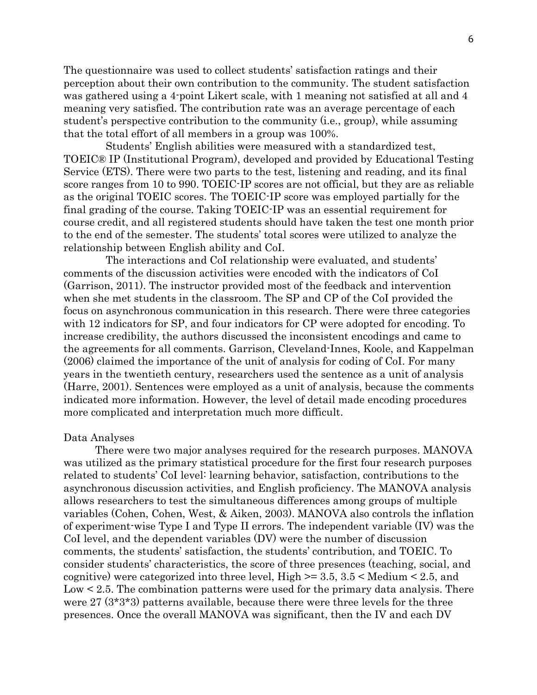The questionnaire was used to collect students' satisfaction ratings and their perception about their own contribution to the community. The student satisfaction was gathered using a 4-point Likert scale, with 1 meaning not satisfied at all and 4 meaning very satisfied. The contribution rate was an average percentage of each student's perspective contribution to the community (i.e., group), while assuming that the total effort of all members in a group was 100%.

Students' English abilities were measured with a standardized test, TOEIC® IP (Institutional Program), developed and provided by Educational Testing Service (ETS). There were two parts to the test, listening and reading, and its final score ranges from 10 to 990. TOEIC-IP scores are not official, but they are as reliable as the original TOEIC scores. The TOEIC-IP score was employed partially for the final grading of the course. Taking TOEIC-IP was an essential requirement for course credit, and all registered students should have taken the test one month prior to the end of the semester. The students' total scores were utilized to analyze the relationship between English ability and CoI.

The interactions and CoI relationship were evaluated, and students' comments of the discussion activities were encoded with the indicators of CoI (Garrison, 2011). The instructor provided most of the feedback and intervention when she met students in the classroom. The SP and CP of the CoI provided the focus on asynchronous communication in this research. There were three categories with 12 indicators for SP, and four indicators for CP were adopted for encoding. To increase credibility, the authors discussed the inconsistent encodings and came to the agreements for all comments. Garrison, Cleveland-Innes, Koole, and Kappelman (2006) claimed the importance of the unit of analysis for coding of CoI. For many years in the twentieth century, researchers used the sentence as a unit of analysis (Harre, 2001). Sentences were employed as a unit of analysis, because the comments indicated more information. However, the level of detail made encoding procedures more complicated and interpretation much more difficult.

#### Data Analyses

There were two major analyses required for the research purposes. MANOVA was utilized as the primary statistical procedure for the first four research purposes related to students' CoI level: learning behavior, satisfaction, contributions to the asynchronous discussion activities, and English proficiency. The MANOVA analysis allows researchers to test the simultaneous differences among groups of multiple variables (Cohen, Cohen, West, & Aiken, 2003). MANOVA also controls the inflation of experiment-wise Type I and Type II errors. The independent variable (IV) was the CoI level, and the dependent variables (DV) were the number of discussion comments, the students' satisfaction, the students' contribution, and TOEIC. To consider students' characteristics, the score of three presences (teaching, social, and cognitive) were categorized into three level, High >= 3.5, 3.5 < Medium < 2.5, and Low < 2.5. The combination patterns were used for the primary data analysis. There were 27 (3\*3\*3) patterns available, because there were three levels for the three presences. Once the overall MANOVA was significant, then the IV and each DV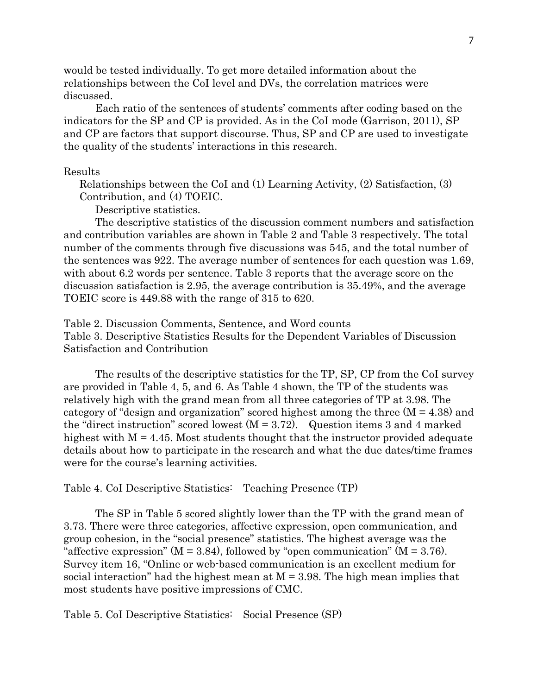would be tested individually. To get more detailed information about the relationships between the CoI level and DVs, the correlation matrices were discussed.

Each ratio of the sentences of students' comments after coding based on the indicators for the SP and CP is provided. As in the CoI mode (Garrison, 2011), SP and CP are factors that support discourse. Thus, SP and CP are used to investigate the quality of the students' interactions in this research.

#### Results

Relationships between the CoI and (1) Learning Activity, (2) Satisfaction, (3) Contribution, and (4) TOEIC.

Descriptive statistics.

The descriptive statistics of the discussion comment numbers and satisfaction and contribution variables are shown in Table 2 and Table 3 respectively. The total number of the comments through five discussions was 545, and the total number of the sentences was 922. The average number of sentences for each question was 1.69, with about 6.2 words per sentence. Table 3 reports that the average score on the discussion satisfaction is 2.95, the average contribution is 35.49%, and the average TOEIC score is 449.88 with the range of 315 to 620.

Table 2. Discussion Comments, Sentence, and Word counts Table 3. Descriptive Statistics Results for the Dependent Variables of Discussion Satisfaction and Contribution

The results of the descriptive statistics for the TP, SP, CP from the CoI survey are provided in Table 4, 5, and 6. As Table 4 shown, the TP of the students was relatively high with the grand mean from all three categories of TP at 3.98. The category of "design and organization" scored highest among the three  $(M = 4.38)$  and the "direct instruction" scored lowest  $(M = 3.72)$ . Question items 3 and 4 marked highest with  $M = 4.45$ . Most students thought that the instructor provided adequate details about how to participate in the research and what the due dates/time frames were for the course's learning activities.

Table 4. CoI Descriptive Statistics: Teaching Presence (TP)

The SP in Table 5 scored slightly lower than the TP with the grand mean of 3.73. There were three categories, affective expression, open communication, and group cohesion, in the "social presence" statistics. The highest average was the "affective expression" ( $M = 3.84$ ), followed by "open communication" ( $M = 3.76$ ). Survey item 16, "Online or web-based communication is an excellent medium for social interaction" had the highest mean at  $M = 3.98$ . The high mean implies that most students have positive impressions of CMC.

Table 5. CoI Descriptive Statistics: Social Presence (SP)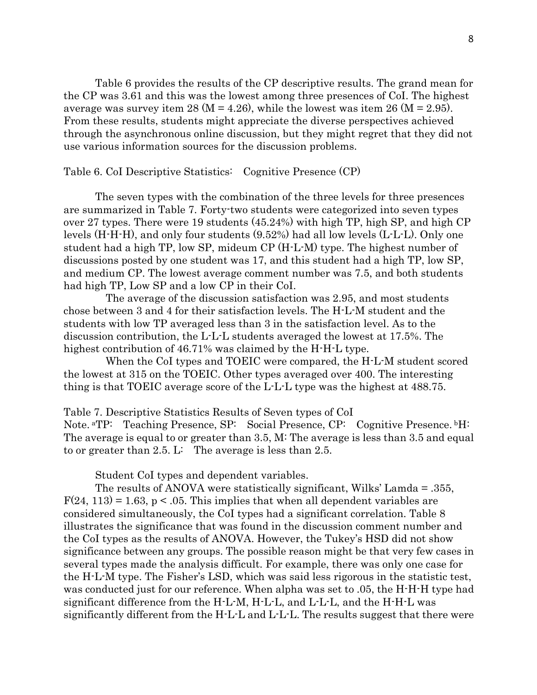Table 6 provides the results of the CP descriptive results. The grand mean for the CP was 3.61 and this was the lowest among three presences of CoI. The highest average was survey item 28 ( $M = 4.26$ ), while the lowest was item 26 ( $M = 2.95$ ). From these results, students might appreciate the diverse perspectives achieved through the asynchronous online discussion, but they might regret that they did not use various information sources for the discussion problems.

## Table 6. CoI Descriptive Statistics: Cognitive Presence (CP)

The seven types with the combination of the three levels for three presences are summarized in Table 7. Forty-two students were categorized into seven types over 27 types. There were 19 students (45.24%) with high TP, high SP, and high CP levels (H-H-H), and only four students (9.52%) had all low levels (L-L-L). Only one student had a high TP, low SP, mideum CP (H-L-M) type. The highest number of discussions posted by one student was 17, and this student had a high TP, low SP, and medium CP. The lowest average comment number was 7.5, and both students had high TP, Low SP and a low CP in their CoI.

The average of the discussion satisfaction was 2.95, and most students chose between 3 and 4 for their satisfaction levels. The H-L-M student and the students with low TP averaged less than 3 in the satisfaction level. As to the discussion contribution, the L-L-L students averaged the lowest at 17.5%. The highest contribution of 46.71% was claimed by the H-H-L type.

When the CoI types and TOEIC were compared, the H-L-M student scored the lowest at 315 on the TOEIC. Other types averaged over 400. The interesting thing is that TOEIC average score of the L-L-L type was the highest at 488.75.

# Table 7. Descriptive Statistics Results of Seven types of CoI

Note. aTP: Teaching Presence, SP: Social Presence, CP: Cognitive Presence. bH: The average is equal to or greater than 3.5, M: The average is less than 3.5 and equal to or greater than 2.5. L: The average is less than 2.5.

Student CoI types and dependent variables.

The results of ANOVA were statistically significant, Wilks' Lamda = .355,  $F(24, 113) = 1.63$ ,  $p < .05$ . This implies that when all dependent variables are considered simultaneously, the CoI types had a significant correlation. Table 8 illustrates the significance that was found in the discussion comment number and the CoI types as the results of ANOVA. However, the Tukey's HSD did not show significance between any groups. The possible reason might be that very few cases in several types made the analysis difficult. For example, there was only one case for the H-L-M type. The Fisher's LSD, which was said less rigorous in the statistic test, was conducted just for our reference. When alpha was set to .05, the H-H-H type had significant difference from the H-L-M, H-L-L, and L-L-L, and the H-H-L was significantly different from the H-L-L and L-L-L. The results suggest that there were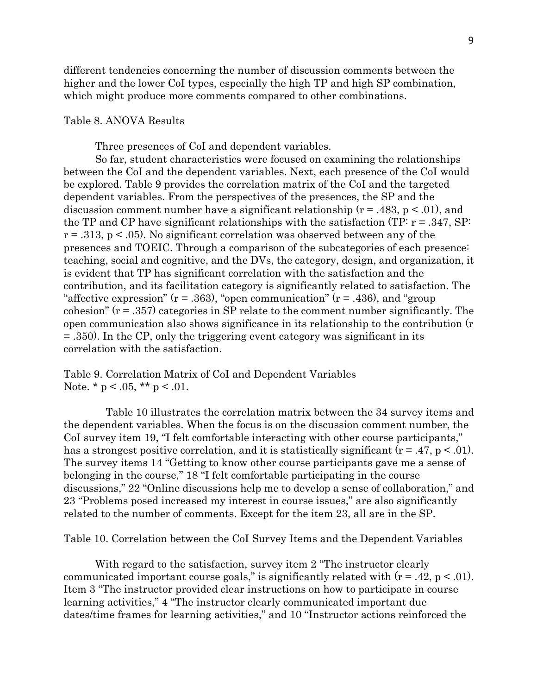different tendencies concerning the number of discussion comments between the higher and the lower CoI types, especially the high TP and high SP combination, which might produce more comments compared to other combinations.

## Table 8. ANOVA Results

Three presences of CoI and dependent variables.

So far, student characteristics were focused on examining the relationships between the CoI and the dependent variables. Next, each presence of the CoI would be explored. Table 9 provides the correlation matrix of the CoI and the targeted dependent variables. From the perspectives of the presences, the SP and the discussion comment number have a significant relationship ( $r = .483$ ,  $p < .01$ ), and the TP and CP have significant relationships with the satisfaction (TP:  $r = .347$ , SP:  $r = .313$ ,  $p < .05$ ). No significant correlation was observed between any of the presences and TOEIC. Through a comparison of the subcategories of each presence: teaching, social and cognitive, and the DVs, the category, design, and organization, it is evident that TP has significant correlation with the satisfaction and the contribution, and its facilitation category is significantly related to satisfaction. The "affective expression" ( $r = .363$ ), "open communication" ( $r = .436$ ), and "group cohesion"  $(r = .357)$  categories in SP relate to the comment number significantly. The open communication also shows significance in its relationship to the contribution (r = .350). In the CP, only the triggering event category was significant in its correlation with the satisfaction.

Table 9. Correlation Matrix of CoI and Dependent Variables Note.  $* p < .05, ** p < .01$ .

Table 10 illustrates the correlation matrix between the 34 survey items and the dependent variables. When the focus is on the discussion comment number, the CoI survey item 19, "I felt comfortable interacting with other course participants," has a strongest positive correlation, and it is statistically significant  $(r = .47, p < .01)$ . The survey items 14 "Getting to know other course participants gave me a sense of belonging in the course," 18 "I felt comfortable participating in the course discussions," 22 "Online discussions help me to develop a sense of collaboration," and 23 "Problems posed increased my interest in course issues," are also significantly related to the number of comments. Except for the item 23, all are in the SP.

Table 10. Correlation between the CoI Survey Items and the Dependent Variables

With regard to the satisfaction, survey item 2 "The instructor clearly communicated important course goals," is significantly related with  $(r = .42, p < .01)$ . Item 3 "The instructor provided clear instructions on how to participate in course learning activities," 4 "The instructor clearly communicated important due dates/time frames for learning activities," and 10 "Instructor actions reinforced the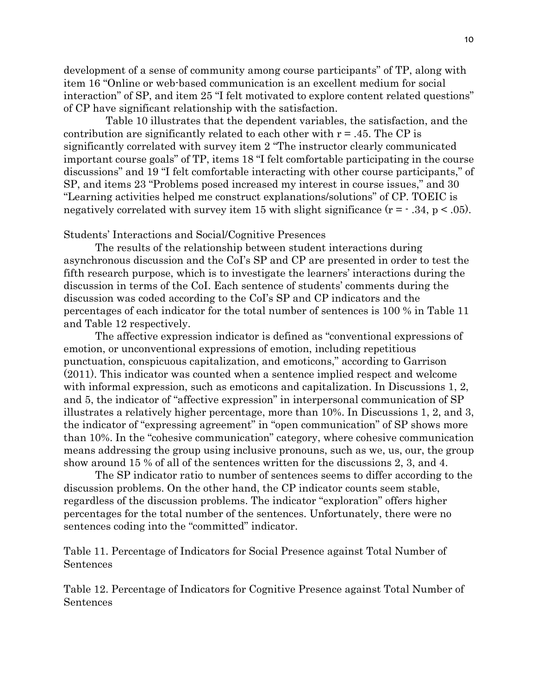development of a sense of community among course participants" of TP, along with item 16 "Online or web-based communication is an excellent medium for social interaction" of SP, and item 25 "I felt motivated to explore content related questions" of CP have significant relationship with the satisfaction.

Table 10 illustrates that the dependent variables, the satisfaction, and the contribution are significantly related to each other with  $r = .45$ . The CP is significantly correlated with survey item 2 "The instructor clearly communicated important course goals" of TP, items 18 "I felt comfortable participating in the course discussions" and 19 "I felt comfortable interacting with other course participants," of SP, and items 23 "Problems posed increased my interest in course issues," and 30 "Learning activities helped me construct explanations/solutions" of CP. TOEIC is negatively correlated with survey item 15 with slight significance  $(r = -0.34, p < 0.05)$ .

Students' Interactions and Social/Cognitive Presences

The results of the relationship between student interactions during asynchronous discussion and the CoI's SP and CP are presented in order to test the fifth research purpose, which is to investigate the learners' interactions during the discussion in terms of the CoI. Each sentence of students' comments during the discussion was coded according to the CoI's SP and CP indicators and the percentages of each indicator for the total number of sentences is 100 % in Table 11 and Table 12 respectively.

The affective expression indicator is defined as "conventional expressions of emotion, or unconventional expressions of emotion, including repetitious punctuation, conspicuous capitalization, and emoticons," according to Garrison (2011). This indicator was counted when a sentence implied respect and welcome with informal expression, such as emoticons and capitalization. In Discussions 1, 2, and 5, the indicator of "affective expression" in interpersonal communication of SP illustrates a relatively higher percentage, more than 10%. In Discussions 1, 2, and 3, the indicator of "expressing agreement" in "open communication" of SP shows more than 10%. In the "cohesive communication" category, where cohesive communication means addressing the group using inclusive pronouns, such as we, us, our, the group show around 15 % of all of the sentences written for the discussions 2, 3, and 4.

The SP indicator ratio to number of sentences seems to differ according to the discussion problems. On the other hand, the CP indicator counts seem stable, regardless of the discussion problems. The indicator "exploration" offers higher percentages for the total number of the sentences. Unfortunately, there were no sentences coding into the "committed" indicator.

Table 11. Percentage of Indicators for Social Presence against Total Number of Sentences

Table 12. Percentage of Indicators for Cognitive Presence against Total Number of Sentences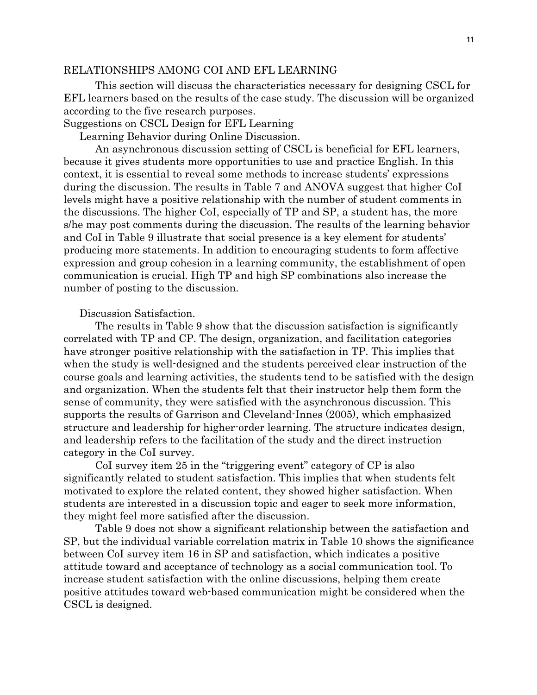### RELATIONSHIPS AMONG COI AND EFL LEARNING

This section will discuss the characteristics necessary for designing CSCL for EFL learners based on the results of the case study. The discussion will be organized according to the five research purposes.

Suggestions on CSCL Design for EFL Learning

Learning Behavior during Online Discussion.

An asynchronous discussion setting of CSCL is beneficial for EFL learners, because it gives students more opportunities to use and practice English. In this context, it is essential to reveal some methods to increase students' expressions during the discussion. The results in Table 7 and ANOVA suggest that higher CoI levels might have a positive relationship with the number of student comments in the discussions. The higher CoI, especially of TP and SP, a student has, the more s/he may post comments during the discussion. The results of the learning behavior and CoI in Table 9 illustrate that social presence is a key element for students' producing more statements. In addition to encouraging students to form affective expression and group cohesion in a learning community, the establishment of open communication is crucial. High TP and high SP combinations also increase the number of posting to the discussion.

#### Discussion Satisfaction.

The results in Table 9 show that the discussion satisfaction is significantly correlated with TP and CP. The design, organization, and facilitation categories have stronger positive relationship with the satisfaction in TP. This implies that when the study is well-designed and the students perceived clear instruction of the course goals and learning activities, the students tend to be satisfied with the design and organization. When the students felt that their instructor help them form the sense of community, they were satisfied with the asynchronous discussion. This supports the results of Garrison and Cleveland-Innes (2005), which emphasized structure and leadership for higher-order learning. The structure indicates design, and leadership refers to the facilitation of the study and the direct instruction category in the CoI survey.

CoI survey item 25 in the "triggering event" category of CP is also significantly related to student satisfaction. This implies that when students felt motivated to explore the related content, they showed higher satisfaction. When students are interested in a discussion topic and eager to seek more information, they might feel more satisfied after the discussion.

Table 9 does not show a significant relationship between the satisfaction and SP, but the individual variable correlation matrix in Table 10 shows the significance between CoI survey item 16 in SP and satisfaction, which indicates a positive attitude toward and acceptance of technology as a social communication tool. To increase student satisfaction with the online discussions, helping them create positive attitudes toward web-based communication might be considered when the CSCL is designed.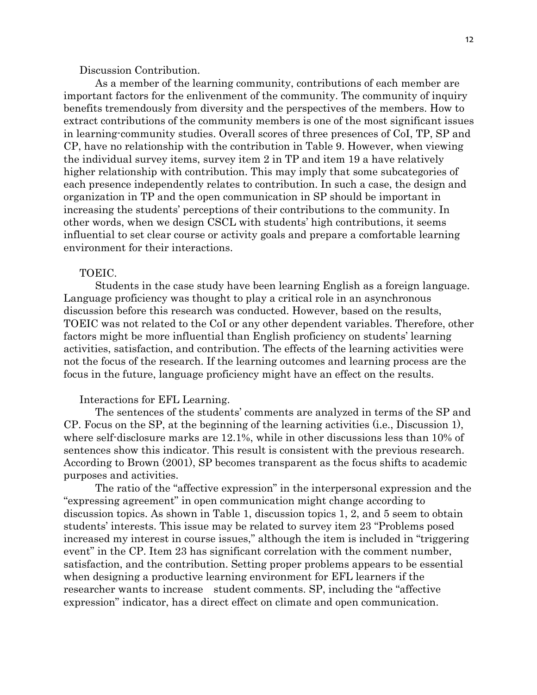Discussion Contribution.

As a member of the learning community, contributions of each member are important factors for the enlivenment of the community. The community of inquiry benefits tremendously from diversity and the perspectives of the members. How to extract contributions of the community members is one of the most significant issues in learning-community studies. Overall scores of three presences of CoI, TP, SP and CP, have no relationship with the contribution in Table 9. However, when viewing the individual survey items, survey item 2 in TP and item 19 a have relatively higher relationship with contribution. This may imply that some subcategories of each presence independently relates to contribution. In such a case, the design and organization in TP and the open communication in SP should be important in increasing the students' perceptions of their contributions to the community. In other words, when we design CSCL with students' high contributions, it seems influential to set clear course or activity goals and prepare a comfortable learning environment for their interactions.

#### TOEIC.

Students in the case study have been learning English as a foreign language. Language proficiency was thought to play a critical role in an asynchronous discussion before this research was conducted. However, based on the results, TOEIC was not related to the CoI or any other dependent variables. Therefore, other factors might be more influential than English proficiency on students' learning activities, satisfaction, and contribution. The effects of the learning activities were not the focus of the research. If the learning outcomes and learning process are the focus in the future, language proficiency might have an effect on the results.

#### Interactions for EFL Learning.

The sentences of the students' comments are analyzed in terms of the SP and CP. Focus on the SP, at the beginning of the learning activities (i.e., Discussion 1), where self-disclosure marks are 12.1%, while in other discussions less than 10% of sentences show this indicator. This result is consistent with the previous research. According to Brown (2001), SP becomes transparent as the focus shifts to academic purposes and activities.

The ratio of the "affective expression" in the interpersonal expression and the "expressing agreement" in open communication might change according to discussion topics. As shown in Table 1, discussion topics 1, 2, and 5 seem to obtain students' interests. This issue may be related to survey item 23 "Problems posed increased my interest in course issues," although the item is included in "triggering event" in the CP. Item 23 has significant correlation with the comment number, satisfaction, and the contribution. Setting proper problems appears to be essential when designing a productive learning environment for EFL learners if the researcher wants to increase student comments. SP, including the "affective expression" indicator, has a direct effect on climate and open communication.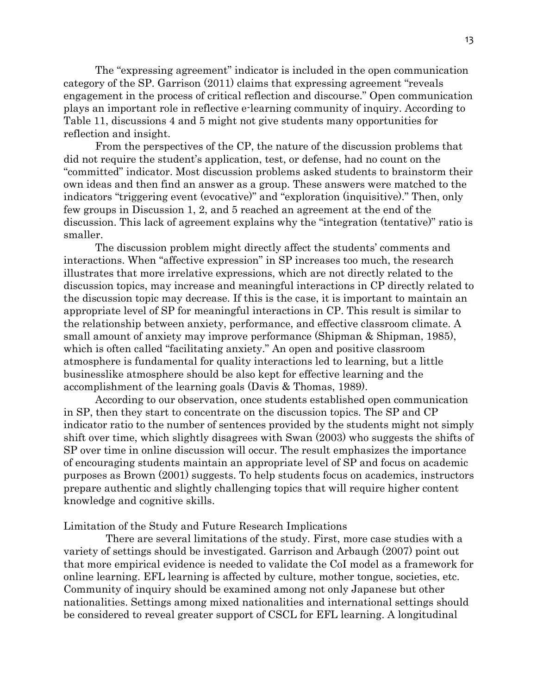The "expressing agreement" indicator is included in the open communication category of the SP. Garrison (2011) claims that expressing agreement "reveals engagement in the process of critical reflection and discourse." Open communication plays an important role in reflective e-learning community of inquiry. According to Table 11, discussions 4 and 5 might not give students many opportunities for reflection and insight.

From the perspectives of the CP, the nature of the discussion problems that did not require the student's application, test, or defense, had no count on the "committed" indicator. Most discussion problems asked students to brainstorm their own ideas and then find an answer as a group. These answers were matched to the indicators "triggering event (evocative)" and "exploration (inquisitive)." Then, only few groups in Discussion 1, 2, and 5 reached an agreement at the end of the discussion. This lack of agreement explains why the "integration (tentative)" ratio is smaller.

The discussion problem might directly affect the students' comments and interactions. When "affective expression" in SP increases too much, the research illustrates that more irrelative expressions, which are not directly related to the discussion topics, may increase and meaningful interactions in CP directly related to the discussion topic may decrease. If this is the case, it is important to maintain an appropriate level of SP for meaningful interactions in CP. This result is similar to the relationship between anxiety, performance, and effective classroom climate. A small amount of anxiety may improve performance (Shipman & Shipman, 1985), which is often called "facilitating anxiety." An open and positive classroom atmosphere is fundamental for quality interactions led to learning, but a little businesslike atmosphere should be also kept for effective learning and the accomplishment of the learning goals (Davis & Thomas, 1989).

According to our observation, once students established open communication in SP, then they start to concentrate on the discussion topics. The SP and CP indicator ratio to the number of sentences provided by the students might not simply shift over time, which slightly disagrees with Swan (2003) who suggests the shifts of SP over time in online discussion will occur. The result emphasizes the importance of encouraging students maintain an appropriate level of SP and focus on academic purposes as Brown (2001) suggests. To help students focus on academics, instructors prepare authentic and slightly challenging topics that will require higher content knowledge and cognitive skills.

Limitation of the Study and Future Research Implications

There are several limitations of the study. First, more case studies with a variety of settings should be investigated. Garrison and Arbaugh (2007) point out that more empirical evidence is needed to validate the CoI model as a framework for online learning. EFL learning is affected by culture, mother tongue, societies, etc. Community of inquiry should be examined among not only Japanese but other nationalities. Settings among mixed nationalities and international settings should be considered to reveal greater support of CSCL for EFL learning. A longitudinal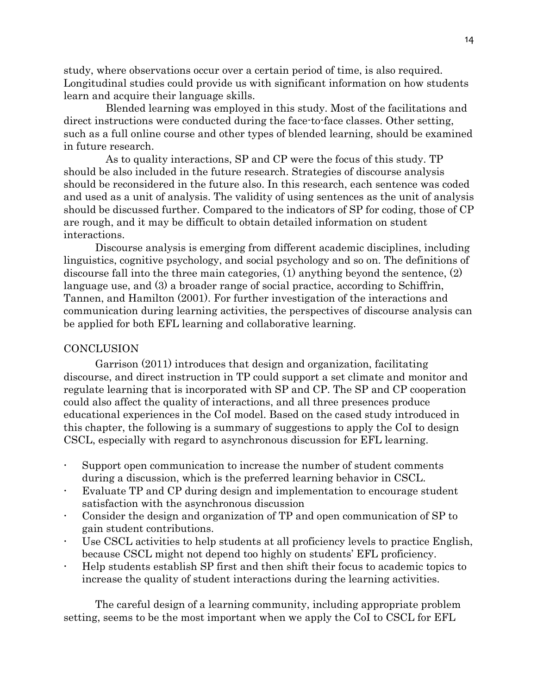study, where observations occur over a certain period of time, is also required. Longitudinal studies could provide us with significant information on how students learn and acquire their language skills.

Blended learning was employed in this study. Most of the facilitations and direct instructions were conducted during the face-to-face classes. Other setting, such as a full online course and other types of blended learning, should be examined in future research.

As to quality interactions, SP and CP were the focus of this study. TP should be also included in the future research. Strategies of discourse analysis should be reconsidered in the future also. In this research, each sentence was coded and used as a unit of analysis. The validity of using sentences as the unit of analysis should be discussed further. Compared to the indicators of SP for coding, those of CP are rough, and it may be difficult to obtain detailed information on student interactions.

Discourse analysis is emerging from different academic disciplines, including linguistics, cognitive psychology, and social psychology and so on. The definitions of discourse fall into the three main categories, (1) anything beyond the sentence, (2) language use, and (3) a broader range of social practice, according to Schiffrin, Tannen, and Hamilton (2001). For further investigation of the interactions and communication during learning activities, the perspectives of discourse analysis can be applied for both EFL learning and collaborative learning.

## **CONCLUSION**

Garrison (2011) introduces that design and organization, facilitating discourse, and direct instruction in TP could support a set climate and monitor and regulate learning that is incorporated with SP and CP. The SP and CP cooperation could also affect the quality of interactions, and all three presences produce educational experiences in the CoI model. Based on the cased study introduced in this chapter, the following is a summary of suggestions to apply the CoI to design CSCL, especially with regard to asynchronous discussion for EFL learning.

- Support open communication to increase the number of student comments during a discussion, which is the preferred learning behavior in CSCL.
- Evaluate TP and CP during design and implementation to encourage student satisfaction with the asynchronous discussion
- Consider the design and organization of TP and open communication of SP to gain student contributions.
- Use CSCL activities to help students at all proficiency levels to practice English, because CSCL might not depend too highly on students' EFL proficiency.
- Help students establish SP first and then shift their focus to academic topics to increase the quality of student interactions during the learning activities.

The careful design of a learning community, including appropriate problem setting, seems to be the most important when we apply the CoI to CSCL for EFL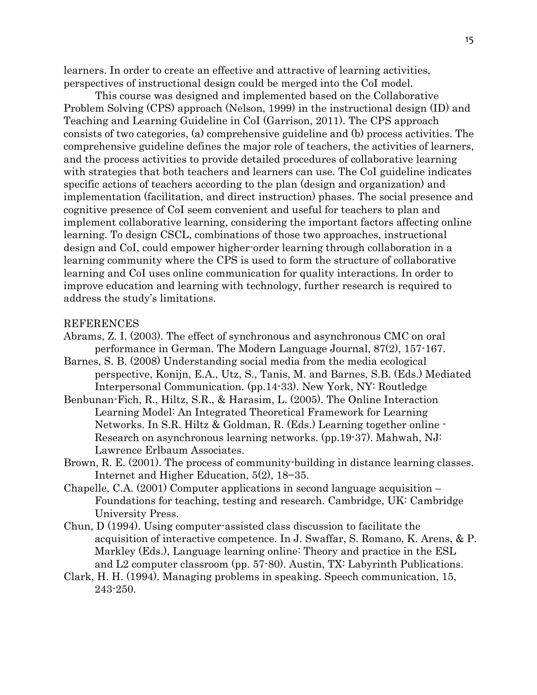learners. In order to create an effective and attractive of learning activities, perspectives of instructional design could be merged into the CoI model.

This course was designed and implemented based on the Collaborative Problem Solving (CPS) approach (Nelson, 1999) in the instructional design (ID) and Teaching and Learning Guideline in CoI (Garrison, 2011). The CPS approach consists of two categories, (a) comprehensive guideline and (b) process activities. The comprehensive guideline defines the major role of teachers, the activities of learners, and the process activities to provide detailed procedures of collaborative learning with strategies that both teachers and learners can use. The CoI guideline indicates specific actions of teachers according to the plan (design and organization) and implementation (facilitation, and direct instruction) phases. The social presence and cognitive presence of CoI seem convenient and useful for teachers to plan and implement collaborative learning, considering the important factors affecting online learning. To design CSCL, combinations of those two approaches, instructional design and CoI, could empower higher-order learning through collaboration in a learning community where the CPS is used to form the structure of collaborative learning and CoI uses online communication for quality interactions. In order to improve education and learning with technology, further research is required to address the study's limitations.

#### REFERENCES

- Abrams, Z. I. (2003). The effect of synchronous and asynchronous CMC on oral performance in German. The Modern Language Journal, 87(2), 157-167.
- Barnes, S. B. (2008) Understanding social media from the media ecological perspective, Konijn, E.A., Utz, S., Tanis, M. and Barnes, S.B. (Eds.) Mediated Interpersonal Communication. (pp.14-33). New York, NY: Routledge
- Benbunan-Fich, R., Hiltz, S.R., & Harasim, L. (2005). The Online Interaction Learning Model: An Integrated Theoretical Framework for Learning Networks. In S.R. Hiltz & Goldman, R. (Eds.) Learning together online - Research on asynchronous learning networks. (pp.19-37). Mahwah, NJ: Lawrence Erlbaum Associates.
- Brown, R. E. (2001). The process of community-building in distance learning classes. Internet and Higher Education, 5(2), 18−35.
- Chapelle, C.A. (2001) Computer applications in second language acquisition Foundations for teaching, testing and research. Cambridge, UK: Cambridge University Press.
- Chun, D (1994). Using computer-assisted class discussion to facilitate the acquisition of interactive competence. In J. Swaffar, S. Romano, K. Arens, & P. Markley (Eds.), Language learning online: Theory and practice in the ESL and L2 computer classroom (pp. 57-80). Austin, TX: Labyrinth Publications.
- Clark, H. H. (1994). Managing problems in speaking. Speech communication, 15, 243-250.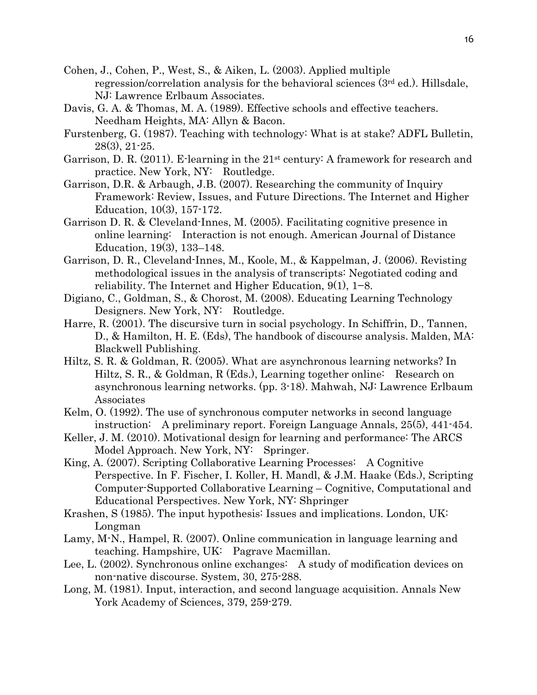- Cohen, J., Cohen, P., West, S., & Aiken, L. (2003). Applied multiple regression/correlation analysis for the behavioral sciences (3rd ed.). Hillsdale, NJ: Lawrence Erlbaum Associates.
- Davis, G. A. & Thomas, M. A. (1989). Effective schools and effective teachers. Needham Heights, MA: Allyn & Bacon.
- Furstenberg, G. (1987). Teaching with technology: What is at stake? ADFL Bulletin, 28(3), 21-25.
- Garrison, D. R. (2011). E-learning in the 21<sup>st</sup> century: A framework for research and practice. New York, NY: Routledge.
- Garrison, D.R. & Arbaugh, J.B. (2007). Researching the community of Inquiry Framework: Review, Issues, and Future Directions. The Internet and Higher Education, 10(3), 157-172.
- Garrison D. R. & Cleveland-Innes, M. (2005). Facilitating cognitive presence in online learning: Interaction is not enough. American Journal of Distance Education, 19(3), 133–148.
- Garrison, D. R., Cleveland-Innes, M., Koole, M., & Kappelman, J. (2006). Revisting methodological issues in the analysis of transcripts: Negotiated coding and reliability. The Internet and Higher Education, 9(1), 1−8.
- Digiano, C., Goldman, S., & Chorost, M. (2008). Educating Learning Technology Designers. New York, NY: Routledge.
- Harre, R. (2001). The discursive turn in social psychology. In Schiffrin, D., Tannen, D., & Hamilton, H. E. (Eds), The handbook of discourse analysis. Malden, MA: Blackwell Publishing.
- Hiltz, S. R. & Goldman, R. (2005). What are asynchronous learning networks? In Hiltz, S. R., & Goldman, R (Eds.), Learning together online: Research on asynchronous learning networks. (pp. 3-18). Mahwah, NJ: Lawrence Erlbaum Associates
- Kelm, O. (1992). The use of synchronous computer networks in second language instruction: A preliminary report. Foreign Language Annals, 25(5), 441-454.
- Keller, J. M. (2010). Motivational design for learning and performance: The ARCS Model Approach. New York, NY: Springer.
- King, A. (2007). Scripting Collaborative Learning Processes: A Cognitive Perspective. In F. Fischer, I. Koller, H. Mandl, & J.M. Haake (Eds.), Scripting Computer-Supported Collaborative Learning – Cognitive, Computational and Educational Perspectives. New York, NY: Shpringer
- Krashen, S (1985). The input hypothesis: Issues and implications. London, UK: Longman
- Lamy, M-N., Hampel, R. (2007). Online communication in language learning and teaching. Hampshire, UK: Pagrave Macmillan.
- Lee, L. (2002). Synchronous online exchanges: A study of modification devices on non-native discourse. System, 30, 275-288.
- Long, M. (1981). Input, interaction, and second language acquisition. Annals New York Academy of Sciences, 379, 259-279.